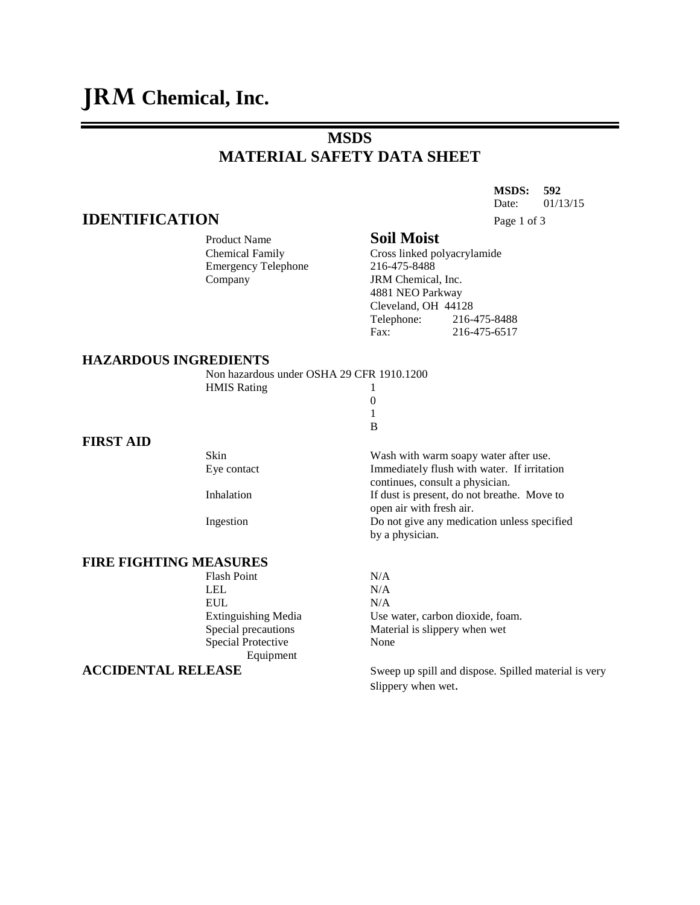# **MSDS MATERIAL SAFETY DATA SHEET**

**MSDS: 592** Date: 01/13/15 **IDENTIFICATION** Page 1 of 3

### Product Name **Soil Moist**

Chemical Family Cross linked polyacrylamide Emergency Telephone 216-475-8488 Company JRM Chemical, Inc. 4881 NEO Parkway Cleveland, OH 44128 Telephone: 216-475-8488 Fax: 216-475-6517

#### **HAZARDOUS INGREDIENTS**

| Non hazardous under OSHA 29 CFR 1910.1200 |  |
|-------------------------------------------|--|
| <b>HMIS Rating</b>                        |  |
|                                           |  |
|                                           |  |
|                                           |  |

**FIRST AID**

## **FIRE FIGHTING MEASURES**

Flash Point N/A LEL N/A EUL N/A Special Protective None Equipment

Skin Wash with warm soapy water after use. Eye contact Immediately flush with water. If irritation continues, consult a physician. Inhalation If dust is present, do not breathe. Move to open air with fresh air. Ingestion Do not give any medication unless specified by a physician.

Extinguishing Media Use water, carbon dioxide, foam. Special precautions Material is slippery when wet

**ACCIDENTAL RELEASE** Sweep up spill and dispose. Spilled material is very slippery when wet.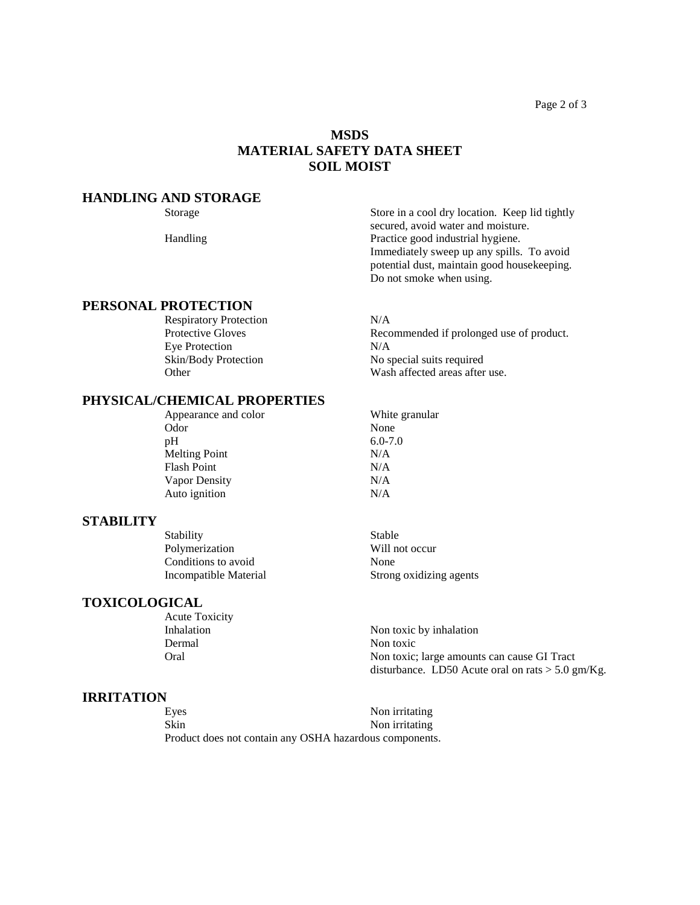Page 2 of 3

# **MSDS MATERIAL SAFETY DATA SHEET SOIL MOIST**

#### **HANDLING AND STORAGE**

#### **PERSONAL PROTECTION**

Respiratory Protection N/A<br>Protective Gloves Reco Eye Protection N/A

#### **PHYSICAL/CHEMICAL PROPERTIES**

Appearance and color White granular Odor None pH 6.0-7.0 Melting Point N/A Flash Point N/A Vapor Density N/A Auto ignition N/A

#### **STABILITY**

Stability Stable Polymerization Will not occur Conditions to avoid None

#### **TOXICOLOGICAL**

Acute Toxicity Dermal Non toxic

#### **IRRITATION**

Eyes Non irritating Skin Non irritating Product does not contain any OSHA hazardous components.

Storage Store in a cool dry location. Keep lid tightly secured, avoid water and moisture. Handling Practice good industrial hygiene. Immediately sweep up any spills. To avoid potential dust, maintain good housekeeping. Do not smoke when using.

Recommended if prolonged use of product. Skin/Body Protection No special suits required Other Wash affected areas after use.

Incompatible Material Strong oxidizing agents

Inhalation Non toxic by inhalation Oral Non toxic; large amounts can cause GI Tract disturbance. LD50 Acute oral on rats  $>$  5.0 gm/Kg.